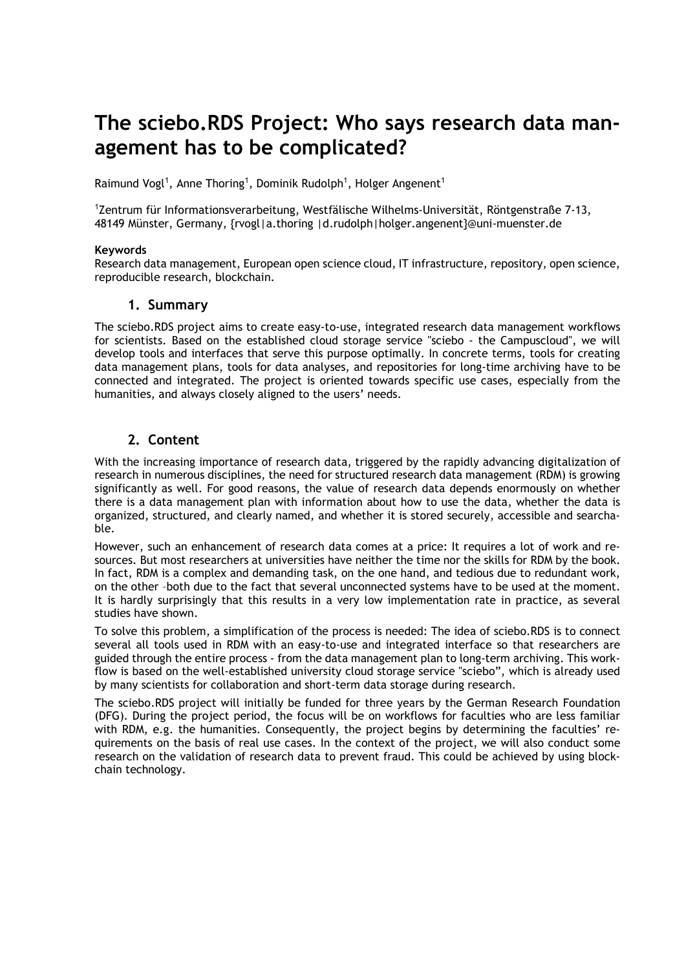# **The sciebo.RDS Project: Who says research data management has to be complicated?**

Raimund Vogl<sup>1</sup>, Anne Thoring<sup>1</sup>, Dominik Rudolph<sup>1</sup>, Holger Angenent<sup>1</sup>

<sup>1</sup>Zentrum für Informationsverarbeitung, Westfälische Wilhelms-Universität, Röntgenstraße 7-13, 48149 Münster, Germany, {rvogl|a.thoring |d.rudolph|holger.angenent}@uni-muenster.de

#### **Keywords**

Research data management, European open science cloud, IT infrastructure, repository, open science, reproducible research, blockchain.

#### **1. Summary**

The sciebo.RDS project aims to create easy-to-use, integrated research data management workflows for scientists. Based on the established cloud storage service "sciebo - the Campuscloud", we will develop tools and interfaces that serve this purpose optimally. In concrete terms, tools for creating data management plans, tools for data analyses, and repositories for long-time archiving have to be connected and integrated. The project is oriented towards specific use cases, especially from the humanities, and always closely aligned to the users' needs.

### **2. Content**

With the increasing importance of research data, triggered by the rapidly advancing digitalization of research in numerous disciplines, the need for structured research data management (RDM) is growing significantly as well. For good reasons, the value of research data depends enormously on whether there is a data management plan with information about how to use the data, whether the data is organized, structured, and clearly named, and whether it is stored securely, accessible and searchable.

However, such an enhancement of research data comes at a price: It requires a lot of work and resources. But most researchers at universities have neither the time nor the skills for RDM by the book. In fact, RDM is a complex and demanding task, on the one hand, and tedious due to redundant work, on the other –both due to the fact that several unconnected systems have to be used at the moment. It is hardly surprisingly that this results in a very low implementation rate in practice, as several studies have shown.

To solve this problem, a simplification of the process is needed: The idea of sciebo.RDS is to connect several all tools used in RDM with an easy-to-use and integrated interface so that researchers are guided through the entire process - from the data management plan to long-term archiving. This workflow is based on the well-established university cloud storage service "sciebo", which is already used by many scientists for collaboration and short-term data storage during research.

The sciebo.RDS project will initially be funded for three years by the German Research Foundation (DFG). During the project period, the focus will be on workflows for faculties who are less familiar with RDM, e.g. the humanities. Consequently, the project begins by determining the faculties' requirements on the basis of real use cases. In the context of the project, we will also conduct some research on the validation of research data to prevent fraud. This could be achieved by using blockchain technology.